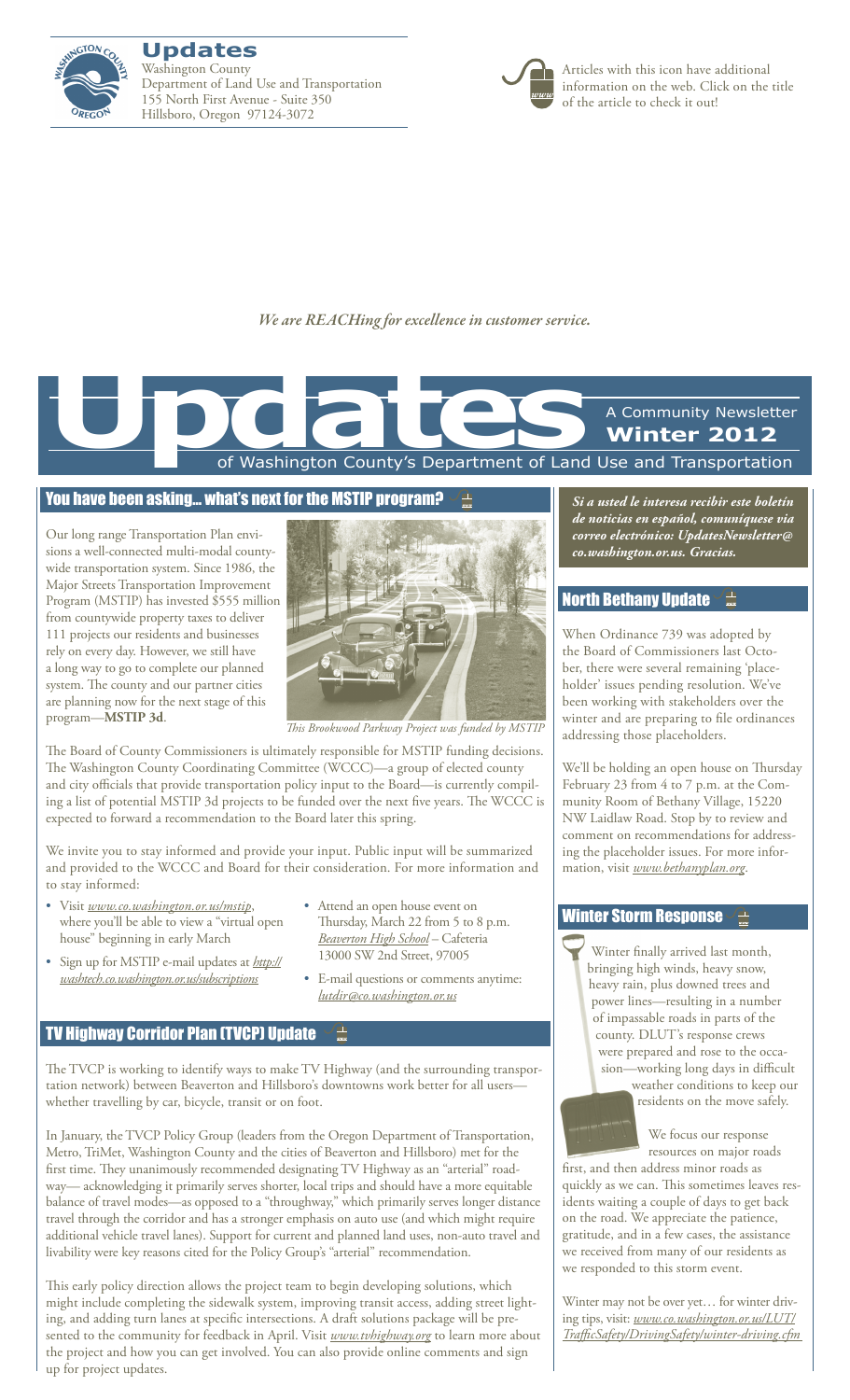

**Updates** Washington County Department of Land Use and Transportation 155 North First Avenue - Suite 350 Hillsboro, Oregon 97124-3072



Articles with this icon have additional information on the web. Click on the title of the article to check it out!

*We are REACHing for excellence in customer service.*

of Washington County's Department of Land Use and Transportation A Community Newsletter **Winter 2012 Updates**<br>The Contract of Washington County's Department of Land

## [You have been asking… what's next for the MSTIP program?](www.co.washington.or.us/mstip)

Our long range Transportation Plan envisions a well-connected multi-modal countywide transportation system. Since 1986, the Major Streets Transportation Improvement Program (MSTIP) has invested \$555 million from countywide property taxes to deliver 111 projects our residents and businesses rely on every day. However, we still have a long way to go to complete our planned system. The county and our partner cities are planning now for the next stage of this program—**MSTIP 3d**.



*This Brookwood Parkway Project was funded by MSTIP*

The Board of County Commissioners is ultimately responsible for MSTIP funding decisions. The Washington County Coordinating Committee (WCCC)—a group of elected county and city officials that provide transportation policy input to the Board—is currently compiling a list of potential MSTIP 3d projects to be funded over the next five years. The WCCC is expected to forward a recommendation to the Board later this spring.

We invite you to stay informed and provide your input. Public input will be summarized and provided to the WCCC and Board for their consideration. For more information and to stay informed:

- • Visit *www.co.washington.or.us/mstip*, where you'll be able to view a "virtual open house" beginning in early March
- • Sign up for MSTIP e-mail updates at *http:// washtech.co.washington.or.us/subscriptions*
- Attend an open house event on Thursday, March 22 from 5 to 8 p.m. *[Beaverton High School](http://g.co/maps/fkdtu)* – Cafeteria 13000 SW 2nd Street, 97005
- • E-mail questions or comments anytime: *lutdir@co.washington.or.us*

## **[TV Highway Corridor Plan \(TVCP\) Update](www.tvhighway.org)**

The TVCP is working to identify ways to make TV Highway (and the surrounding transportation network) between Beaverton and Hillsboro's downtowns work better for all users whether travelling by car, bicycle, transit or on foot.

In January, the TVCP Policy Group (leaders from the Oregon Department of Transportation, Metro, TriMet, Washington County and the cities of Beaverton and Hillsboro) met for the first time. They unanimously recommended designating TV Highway as an "arterial" roadway— acknowledging it primarily serves shorter, local trips and should have a more equitable balance of travel modes—as opposed to a "throughway," which primarily serves longer distance travel through the corridor and has a stronger emphasis on auto use (and which might require additional vehicle travel lanes). Support for current and planned land uses, non-auto travel and livability were key reasons cited for the Policy Group's "arterial" recommendation.

This early policy direction allows the project team to begin developing solutions, which might include completing the sidewalk system, improving transit access, adding street lighting, and adding turn lanes at specific intersections. A draft solutions package will be presented to the community for feedback in April. Visit *www.tvhighway.org* to learn more about the project and how you can get involved. You can also provide online comments and sign up for project updates.

*Si a usted le interesa recibir este boletín de noticias en español, comuníquese via correo electrónico: UpdatesNewsletter@ co.washington.or.us. Gracias.*

## [North Bethany Update](www.bethanyplan.org)

When Ordinance 739 was adopted by the Board of Commissioners last October, there were several remaining 'placeholder' issues pending resolution. We've been working with stakeholders over the winter and are preparing to file ordinances addressing those placeholders.

We'll be holding an open house on Thursday February 23 from 4 to 7 p.m. at the Community Room of Bethany Village, 15220 NW Laidlaw Road. Stop by to review and comment on recommendations for addressing the placeholder issues. For more information, visit *www.bethanyplan.org*.

## [Winter Storm Response](www.co.washington.or.us/LUT/TrafficSafety/DrivingSafety/winter-driving.cfm)

Winter finally arrived last month, bringing high winds, heavy snow, heavy rain, plus downed trees and power lines—resulting in a number of impassable roads in parts of the county. DLUT's response crews were prepared and rose to the occasion—working long days in difficult weather conditions to keep our residents on the move safely.

> We focus our response resources on major roads

first, and then address minor roads as quickly as we can. This sometimes leaves residents waiting a couple of days to get back on the road. We appreciate the patience, gratitude, and in a few cases, the assistance we received from many of our residents as we responded to this storm event.

Winter may not be over yet… for winter driving tips, visit: *www.co.washington.or.us/LUT/ TrafficSafety/DrivingSafety/winter-driving.cfm*